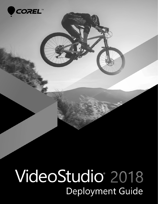

**COREL<sup>T</sup>**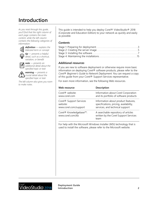# **Introduction**

*As you read through this guide, you'll find that the right column of each page contains the main content, while the left column contains the following categories of information:*



*definition — explains the* 

*italicized term or concept tip — presents a helpful detail, such as a shortcut,* 



*note — presents an additional detail about the specified topic or task*

*variation, or benefit*

*warning — presents a crucial detail about the specified topic or task*

*The left column also gives you room to make notes.*

This guide is intended to help you deploy Corel® VideoStudio® 2018 (Corporate and Education Edition) to your network as quickly and easily as possible.

#### *Contents*

#### *Additional resources*

If you are new to software deployment or otherwise require more basic information on deploying Corel® software products, please refer to the *Corel® Beginner's Guide to Network Deployment*. You can request a copy of this guide from your Corel® Support Services representative.

For even more information, see the following Web resources.

| Web resource                                           | Description                                                                          |
|--------------------------------------------------------|--------------------------------------------------------------------------------------|
| Corel <sup>®</sup> website:                            | Information about Corel Corporation                                                  |
| www.corel.com                                          | and its portfolio of software products                                               |
| Corel <sup>®</sup> Support Services                    | Information about product features,                                                  |
| website:                                               | specifications, pricing, availability,                                               |
| www.corel.com/support                                  | services, and technical support                                                      |
| Corel <sup>®</sup> Knowledgebase™:<br>www.corel.com/kb | A searchable repository of articles<br>written by the Corel Support Services<br>team |

For help with the Microsoft Windows Installer (MSI) technology that is used to install the software, please refer to the Microsoft website.



**Deployment Guide Introduction 2**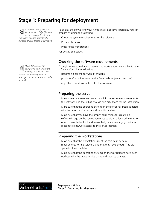# <span id="page-2-0"></span>**Stage 1: Preparing for deployment**

*As used in this guide, the*  (싥 *term "network" signifies two or more computers that are connected to each other for the purpose of exchanging information.*

*Workstations are the computers from which the average user works, and servers are the computers that manage the shared resources of the network.*

To deploy the software to your *network* as smoothly as possible, you can prepare by doing the following:

- Check the system requirements for the software.
- Prepare the server.
- Prepare the workstations.

For details, see below.

### **Checking the software requirements**

To begin, make sure that your *server* and *workstations* are eligible for the software. Consult the following:

- Readme file for the software (if available)
- product-information page on the Corel website [\(www.corel.com\)](http://www.corel.com)
- any other special instructions for the software

### **Preparing the server**

- Make sure that the server meets the minimum system requirements for the software, and that it has enough free disk space for the installation.
- Make sure that the operating system on the server has been updated with the latest service packs and security patches.
- Make sure that you have the proper permissions for creating a software image on the server. You must be either a local administrator or an administrator for the domain that you are managing, and you must have read/write access to the server location.

### **Preparing the workstations**

- Make sure that the workstations meet the minimum system requirements for the software, and that they have enough free disk space for the installation.
- Make sure that the operating systems on the workstations have been updated with the latest service packs and security patches.

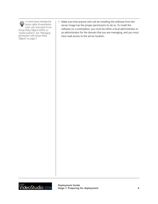*To more easily manage the* • *access rights of workstation users, you may want to use Group Policy Objects (GPOs, or "system policies"). [See "Managing](#page-6-1)  [permissions with Group Policy](#page-6-1)  [Objects" on page 7.](#page-6-1)*

Make sure that anyone who will be installing the software from the server image has the proper permissions to do so. To install the software on a workstation, you must be either a local administrator or an administrator for the domain that you are managing, and you must have read access to the server location.

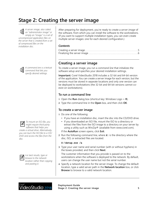# <span id="page-4-0"></span>**Stage 2: Creating the server image**

*A server image, also called an "administrator image" or simply an "image," is a set of uncompressed application files on the server that is created from a set of compressed files on the installation disc.*



*A command line is a textual command that lets you specify desired settings.*



*To mount an ISO file, you might require third-party software that helps you create a virtual drive. Alternatively, you can burn the ISO file to a CD/ DVD and access the files from the disc.*



*For best results, type or browse to the network location rather than copying and pasting it.*

After preparing for deployment, you're ready to create a *server image* of the software, from which you can install the software to the workstations. (If you want to support multiple installation types, you can even create multiple server images: one for each desired configuration.)

#### *Contents*

# <span id="page-4-1"></span>**Creating a server image**

To create a server image, you run a *command line* that initializes the software setup and specifies your desired installation settings.

**Important:** Corel VideoStudio 2018 includes a 32-bit and 64-bit version of the application. You can create a server image for each version, but the versions must be stored in separate locations and only one version can be deployed to workstations (the 32-bit and 64-bit versions cannot coexist on workstations).

#### **To run a command line**

- **1** Open the **Run** dialog box (shortcut key: Windows Logo + **R**).
- **2** Type the command line in the **Open** box, and then click **OK**.

#### **To create a server image**

**1** Do one of the following:

- If you have an installation disc, insert the disc into the CD/DVD drive.
- If you downloaded an ISO file, mount the ISO to a directory or extract the files from the ISO image to a directory on your server by using a utility such as WinZip® (available from www.corel.com). If the **AutoRun** screen opens, click **Exit**.
- **2** Run the following command line, where *X:* is the directory where the disc, ISO, or extracted files are located.

#### **X:\Setup.exe /a**

**3** Type your user name and serial number (with or without hyphens) in the boxes provided, and then click **Next**.

The customer information that you provide is passed on to the workstations when the software is deployed to the network. By default, users can change the user name but not the serial number.

**4** Specify a network location for the server image. To change the default location, type a valid server path in the **Network location** box, or click **Browse** to browse to a valid network location.

# **deoStudio** 2018

#### **Deployment Guide Stage 2: Creating the server image 6 12 and 13 and 13 and 13 and 13 and 13 and 13 and 13 and 13 and 13 and 13 and 13 and 13 and 13 and 13 and 13 and 13 and 13 and 13 and 13 and 13 and 13 and 13 and 13 and 13 and 13 and**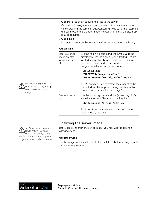|                                                              | 5 Click Install to begin copying the files to the server.                                                                                                                                                                                                   |
|--------------------------------------------------------------|-------------------------------------------------------------------------------------------------------------------------------------------------------------------------------------------------------------------------------------------------------------|
| may be required.                                             | If you click Cancel, you are prompted to confirm that you want to<br>cancel creating the server image. Cancelling "rolls back" the setup and<br>undoes most of the changes made; however, some manual clean-up                                              |
| 6 Click Finish.                                              |                                                                                                                                                                                                                                                             |
|                                                              | 7 Register the software by visiting the Corel website (www.corel.com).                                                                                                                                                                                      |
| You can also                                                 |                                                                                                                                                                                                                                                             |
| Create a server<br>image silently<br>(or with limited<br>UI) | Use the following command line (where $X$ : is the<br>directory where the disc, ISO, or extracted files are<br>located; image_location is the desired location of<br>the server image; and serial_number is the<br>assigned serial number for the product): |
|                                                              | $X: \Set{ \text{sup. exc}}$                                                                                                                                                                                                                                 |
|                                                              | TARGETDIR="image_location"                                                                                                                                                                                                                                  |
|                                                              | SERIALNUMBER="serial_number" /q /a                                                                                                                                                                                                                          |
|                                                              | The $\sqrt{q}$ switch is used to restrict the amount of the<br>user interface that appears during installation. For<br>a list of switch parameters, see page 9.                                                                                             |
| Create an error<br>log                                       | Use the following command line (where log_file<br>is the location and filename of the log file):                                                                                                                                                            |
|                                                              | X:\Setup.exe /1 "log_file" /a                                                                                                                                                                                                                               |
|                                                              | For a list of the parameters that are available for<br>the $/1$ switch, see page 10.                                                                                                                                                                        |

# <span id="page-5-0"></span>**Finalizing the server image**

Before deploying from the server image, you may want to take the following steps.

#### *Test the image*

Test the image with a small subset of workstations before rolling it out to your entire organization.



*Proceed with extreme caution when using the* **/q**

*To change the location of a server image, you must create a new image at the new location. You cannot copy an image from one location to another.*

# <sub>Corel</sub><br>**VideoStudio** 2018

**Deployment Guide Stage 2: Creating the server image 6**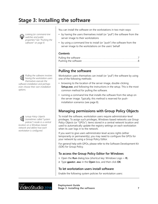# <span id="page-6-0"></span>**Stage 3: Installing the software**



*Looking for command-line switches and public properties? [See "Pushing the](#page-7-0)  [software" on page 8.](#page-7-0)*

*Pulling the software involves having the workstation users themselves execute the software installation and perhaps even choose their own installation options.*

| Group Policy Objects                                         |
|--------------------------------------------------------------|
| <b>6</b> Group rolluy Objects<br>(sometimes called "system") |
| policies") reside in a central                               |
| location on a Windows-based                                  |
| network and define how each                                  |
| workstation is configured.                                   |

You can install the software on the workstations in two main ways:

- by having the users themselves install (or "pull") the software from the server image to their workstations
- by using a command line to install (or "push") the software from the server image to the workstations on the users' behalf

#### *Contents*

# <span id="page-6-2"></span>**Pulling the software**

Workstation users themselves can install (or "*pull*") the software by using one of the following methods:

- browsing to the location of the server image, double-clicking **Setup.exe**, and following the instructions in the setup. This is the most common method for pulling the software.
- running a command line that installs the software from the setup on the server image. Typically, this method is reserved for pushinstallation scenarios (see [page](#page-7-0) 8).

# <span id="page-6-1"></span>**Managing permissions with Group Policy Objects**

To install the software, workstation users require administrator-level privileges. To assign such privileges, Windows-based networks use *Group Policy Objects* (or "GPOs"): items stored in a central network location and used to automatically update the registry settings on each workstation when its user logs in to the network.

If you want to give users administrator-level access rights (either temporarily or permanently), you may need to configure the GPOs for your network by using a Group Policy Editor.

For general help with GPOs, please refer to the Software Development Kit (SDK) for Group Policy.

#### **To access the Group Policy Editor for Windows**

- **1** Open the **Run** dialog box (shortcut key: Windows Logo + **R**).
- **2** Type **gpedit.msc** in the **Open** box, and then click **OK**.

#### **To let workstation users install software**

Enable the following system policies for workstation users:

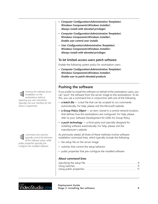*Pushing the software forces installation on the workstations without requiring any user interaction. Typically, the user interface for the setup is suppressed.*

*Command-line switches typically control the behavior of the software setup, while public properties typically preconfigure the installed software.*

- *Computer Configuration\Administrative Templates\ Windows Components\Windows Installer\ Always install with elevated privileges*
- *Computer Configuration\Administrative Templates\ Windows Components\Windows Installer\ Enable user control over installs*
- *User Configuration\Administrative Templates\ Windows Components\Windows Installer\ Always install with elevated privileges*

#### **To let limited-access users patch software**

Enable the following system policy for workstation users:

*• Computer Configuration\Administrative Templates\ Windows Components\Windows Installer\ Enable user to patch elevated products*

# <span id="page-7-0"></span>**Pushing the software**

If you prefer to install the software on behalf of the workstation users, you can "*push*" the software from the server image to the workstations. To do this, you use a command line in conjunction with one of the following:

- *a batch file* a text file that can be scripted to run commands automatically. For help, please visit the Microsoft website.
- *a Group Policy Object* an item, stored in a central network location, that defines how the workstations are configured. For help, please refer to your Software Development Kit (SDK) for Group Policy.
- *a push technology* a third-party tool specially designed for installing software automatically. For help, please visit the manufacturer's website.

As previously stated, all three of these methods involve softwareinstallation command lines, which typically include the following:

- the setup file on the server image
- *switches* that control the setup behavior
- *public properties* that pre-configure the installed software

#### *About command lines*

# ideoStudio 2018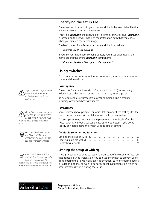*Separate switches from other command-line elements, including other switches, with spaces.*

*Do not type a space between a switch and its parameters or between the parameters in one switch, unless otherwise noted.*

*For a list of all switches for the Microsoft Windows Installer technology, please see the Microsoft website.*



*After installation with the*  **/q** *switch, it is normal for the licensing agreement to appear the first time that users run the program on their workstations.*

# <span id="page-8-1"></span>**Specifying the setup file**

The main item to specify in your command line is the executable file that you want to use to install the software.

This file is *Setup.exe*, the executable file for the software setup. *Setup.exe* is located on the server image, at the installation path that you chose when you created the server image.

The basic syntax for a *Setup.exe* command line is as follows:

#### *\\server\path\***Setup.exe**

If your server-image path contains spaces, you must place quotation marks around the entire *Setup.exe* component:

**"***\\server\path with spaces\***Setup.exe"**

# <span id="page-8-2"></span>**Using switches**

To customize the behavior of the software setup, you can use a variety of command-line switches.

#### *Basic syntax*

The syntax for a switch consists of a forward slash ( **/** ) immediately followed by a character or string — for example, **/q** or **/quiet**.

Be sure to separate switches from other command-line elements, including other switches, with spaces.

### *Parameters*

Some switches have parameters, which let you adjust the settings for the switch. In fact, some switches let you use multiple parameters.

To use a parameter, simply type the parameter immediately after the switch (that is, without a space), unless otherwise noted. If you do not specify any parameters, the switch uses its default settings.

#### *Available switches, by function*

### <span id="page-8-0"></span>**Limiting the setup UI with /q**

The **/q** switch can be used to restrict the amount of the user interface (UI) that appears during installation. You can use the switch to prevent users from entering their own registration information, to help enforce specific installation options, or even to perform "silent installations" (in which no user interface is visible during the setup).

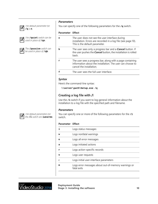*The default parameter for*  **/q** *is* **n***.*



*The* **/quiet** *switch can be used in place of* **/qn***.*



*The* **/passive** *switch can be used in place of* **/qb***.*



*Parameters*

You can specify one of the following parameters for the **/q** switch.

#### **Parameter Effect**

| 'n | The user does not see the user interface during<br>installation. Errors are recorded in a log file (see page 10).<br>This is the default parameter.  |
|----|------------------------------------------------------------------------------------------------------------------------------------------------------|
| ħ  | The user sees only a progress bar and a <b>Cancel</b> button. If<br>the user pushes the <b>Cancel</b> button, the installation is rolled<br>hack.    |
| r  | The user sees a progress bar, along with a page containing<br>information about the installation. The user can choose to<br>cancel the installation. |
| f  | The user sees the full user interface.                                                                                                               |

#### *Syntax*

Here's the command-line syntax:

*\\server\path\***Setup.exe /q**

### <span id="page-9-0"></span>**Creating a log file with /l**

Use the **/l** switch if you want to log general information about the installation to a log file with the specified path and filename.

#### *Parameters*

You can specify one or more of the following parameters for the  $/1$ switch.

#### **Parameter Effect**

|   | Logs status messages                                               |
|---|--------------------------------------------------------------------|
| w | Logs nonfatal warnings                                             |
| e | Logs all error messages                                            |
| a | Logs initiated actions                                             |
| r | Logs action-specific records                                       |
| u | Logs user requests                                                 |
|   | Logs initial user-interface parameters                             |
| m | Logs error messages about out-of-memory warnings or<br>fatal exits |
|   |                                                                    |

<sub>corer</sub><br>VideoStudio 2018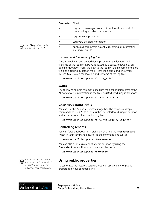*The* **/log** *switch can be used in place of*  $/1$ <sup>\*</sup>.

*Additional information on the use of public properties is available online from the MSDN developer program.*

#### **Parameter Effect**

|   | Logs error messages resulting from insufficient hard disk<br>space during installation to a server |
|---|----------------------------------------------------------------------------------------------------|
| р | Logs terminal properties                                                                           |
| v | Logs very detailed information                                                                     |
|   | Applies all parameters except $\mathbf{v}$ , recording all information<br>in a single log file     |

#### *Location and filename of log file*

The **/l** switch can take an additional parameter: the location and filename of the log file. Type /1 followed by a space, followed by an opening quotation mark, the path to the log file, the filename of the log file, and a closing quotation mark. Here's the command-line syntax (where *log\_file* is the location and filename of the log file):

```
\\server\path\Setup.exe /l "log_file"
```
#### *Syntax*

The following sample command line uses the default parameters of the **/l** switch to log information in the file *C:\install.txt* during installation:

```
\\server\path\Setup.exe /l "C:\install.txt"
```
### *Using the /q switch with /l*

You can use the  $q$  and  $l$ **1** switches together. The following sample command line uses **/q** to suppress the user interface during installation and record errors in the specified log file:

```
\\server\path\Setup.exe /q /l "C:\Logs\My_Log.txt"
```
# <span id="page-10-1"></span>**Controlling reboots**

You can force a reboot after installation by using the /forcerestart switch in your command line. Here's the command-line syntax:

*\\server\path\***Setup.exe /forcerestart**

You can also suppress a reboot after installation by using the **/norestart** switch. Here's the command-line syntax:

```
\\server\path\Setup.exe /norestart
```
# <span id="page-10-0"></span>**Using public properties**

To customize the installed software, you can use a variety of public properties in your command line.

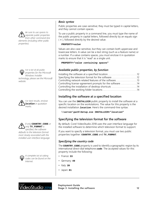*Be sure to use spaces to separate public properties from other command-line elements (including other public properties).*

*For a list of all public properties for the Microsoft Windows Installer technology, please see the Microsoft website.*





*most closely associated with the installed user-interface language.*

*A complete list of calling* • *codes can be found on the Internet.*

#### *Basic syntax*

Public properties are case-sensitive; they must be typed in capital letters, and they cannot contain spaces.

To use a public property in a command line, you must type the name of the public property in capital letters, followed directly by an equals sign ( *=* ), followed directly by the desired value.

#### *PROPERTY***=***value*

Values are also case-sensitive, but they can contain both uppercase and lowercase letters. A value can be a text string (such as a feature name) or a number. If a value contains spaces, you must enclose it in quotation marks to ensure that it is "read" as a single unit.

*PROPERTY***="***value containing spaces***"**

#### *Available public properties, by function*

| Installing the software at a specified location12         |  |
|-----------------------------------------------------------|--|
| Specifying the television format for the software12       |  |
| Controlling network-related features of the software13    |  |
| Controlling license-agreement prompts for the software 14 |  |
| Controlling the installation of desktop shortcuts 14      |  |
|                                                           |  |

### <span id="page-11-0"></span>**Installing the software at a specified location**

You can use the **INSTALLDIR** public property to install the software at a specific location on the workstations. The value for this property is the desired installation *location*. Here's the command-line syntax:

*\\server\path\***Setup.exe INSTALLDIR="***location***"**

### <span id="page-11-1"></span>**Specifying the television format for the software**

By default, Corel VideoStudio 2018 uses the user-interface language for the installed software to determine which television format to support.

If you want to specify a television format, you must use two public properties together: **COUNTRY\_CODE** and **TV\_FORMAT**.

### *Specifying the country code*

The **COUNTRY\_CODE** property is used to identify a geographic region by its international direct-dial telephone *code*. The accepted values for this property include the following:

- France: **33**
- Germany: **49**
- Italy: **39**
- Japan: **81**

# ideoStudio 2018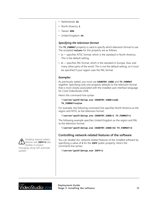- Netherlands: **31**
- North America: **1**
- Taiwan: **886**
- United Kingdom: **44**

#### *Specifying the television format*

The **TV\_FORMAT** property is used to specify which television format to use. The accepted *values* for this property are as follows:

- **1** specifies NTSC format, which is the standard in North America. This is the default setting.
- **2** specifies PAL format, which is the standard in Europe, Asia, and many other parts of the world. This is not the default setting, so it must be specified if your region uses the PAL format.

#### *Examples*

As previously stated, you must use **COUNTRY\_CODE** and **TV\_FORMAT** together. Specifying only one property defaults to the television format that is most closely associated with the installed user-interface language for Corel VideoStudio 2018.

Here's the command-line syntax:

```
\\server\path\Setup.exe COUNTRY_CODE=code
TV_FORMAT=value
```
For example, the following command line specifies North America as the region and NTSC as the television format:

```
\\server\path\Setup.exe COUNTRY_CODE=1 TV_FORMAT=1
```
The following example specifies United Kingdom as the region and PAL as the television format:

```
\\server\path\Setup.exe COUNTRY_CODE=44 TV_FORMAT=2
```
### <span id="page-12-0"></span>**Controlling network-related features of the software**

You can disable ALL network-related features of the installed software by specifying a value of **1** for the **IOFF** public property. Here's the command-line syntax:

*\\server\path\***Setup.exe IOFF=1**

*Disabling network-related features with* **IOFF=1** *also disables in-product messaging, along with automatic updates.*

# ideoStudio 2018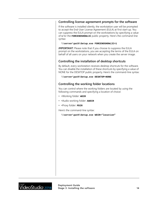#### <span id="page-13-2"></span>**Controlling license-agreement prompts for the software**

If the software is installed silently, the workstation user will be prompted to accept the End-User License Agreement (EULA) at first start-up. You can suppress the EULA prompt on the workstations by specifying a value of **1** for the **FORCENOSHOWLIC** public property. Here's the command-line syntax:

#### **\\server\path\Setup.exe FORCENOSHOWLIC=1**

**IMPORTANT:** Please note that if you choose to suppress the EULA prompt on the workstations, you are accepting the terms of the EULA on behalf of all users on your network when you create the server image.

#### <span id="page-13-0"></span>**Controlling the installation of desktop shortcuts**

By default, every workstation receives desktop shortcuts for the software. You can disable the installation of these shortcuts by specifying a value of NONE for the DESKTOP public property. Here's the command-line syntax:

#### *\\server\path\***Setup.exe DESKTOP=NONE**

#### <span id="page-13-1"></span>**Controlling the working folder locations**

You can control where the working folders are located by using the following commands and specifying a location of choice:

- •Working folder: **WDIR**
- •Audio working folder: **AWDIR**
- •Proxy folder: **PDIR**

Here's the command-line syntax:

**\\server\path\Setup.exe WDIR="location"**

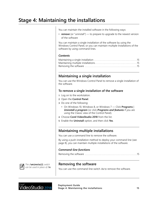# <span id="page-14-0"></span>**Stage 4: Maintaining the installations**

You can maintain the installed software in the following ways:

• *remove* (or "uninstall") — to prepare to upgrade to the newest version of the software

You can maintain a single installation of the software by using the Windows Control Panel, or you can maintain multiple installations of the software by using command lines.

#### *Contents*

# <span id="page-14-2"></span>**Maintaining a single installation**

You can use the Windows Control Panel to remove a single installation of the software.

#### **To remove a single installation of the software**

- **1** Log on to the workstation.
- **2** Open the **Control Panel**.
- **3** Do one of the following:
	- On Windows 10, Windows 8, or Windows 7 Click **Programs** | *Uninstall a program* (or click *Programs and features* if you are using the Classic view of the Control Panel).
- **4** Choose **Corel VideoStudio 2018** from the list.
- **5** Enable the **Uninstall** option, and then click **Yes**.

# <span id="page-14-3"></span>**Maintaining multiple installations**

You can use a command line to remove the software.

By using a push-installation method to deploy your command line (see [page 8](#page-7-0)), you can maintain multiple installations of the software.

#### *Command-line functions*

```
Removing the software . . . . . . . . . . . . . . . . . . . . . . . . . . . . . . . . . . . . . . . . . 15
```


*The* **/uninstall** *switch can be used in place of* **/x***.*

# <span id="page-14-1"></span>**Removing the software**

You can use the command-line switch /x to remove the software.



**Deployment Guide Stage 4: Maintaining the installations 15**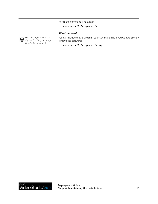Here's the command-line syntax:

```
\\server\path\Setup.exe /x
```
#### *Silent removal*

You can include the **/q** switch in your command line if you want to silently remove the software:

*\\server\path\***Setup.exe /x /q**